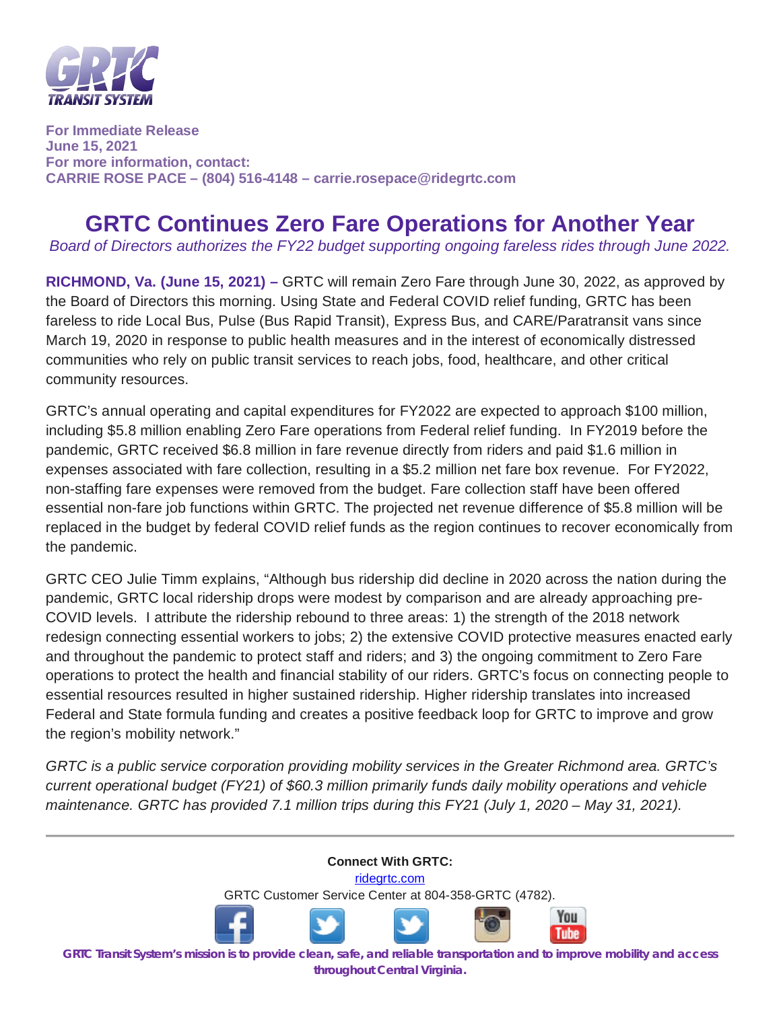

**For Immediate Release June 15, 2021 For more information, contact: CARRIE ROSE PACE – (804) 516-4148 – carrie.rosepace@ridegrtc.com** 

## **GRTC Continues Zero Fare Operations for Another Year**

*Board of Directors authorizes the FY22 budget supporting ongoing fareless rides through June 2022.*

**RICHMOND, Va. (June 15, 2021) –** GRTC will remain Zero Fare through June 30, 2022, as approved by the Board of Directors this morning. Using State and Federal COVID relief funding, GRTC has been fareless to ride Local Bus, Pulse (Bus Rapid Transit), Express Bus, and CARE/Paratransit vans since March 19, 2020 in response to public health measures and in the interest of economically distressed communities who rely on public transit services to reach jobs, food, healthcare, and other critical community resources.

GRTC's annual operating and capital expenditures for FY2022 are expected to approach \$100 million, including \$5.8 million enabling Zero Fare operations from Federal relief funding. In FY2019 before the pandemic, GRTC received \$6.8 million in fare revenue directly from riders and paid \$1.6 million in expenses associated with fare collection, resulting in a \$5.2 million net fare box revenue. For FY2022, non-staffing fare expenses were removed from the budget. Fare collection staff have been offered essential non-fare job functions within GRTC. The projected net revenue difference of \$5.8 million will be replaced in the budget by federal COVID relief funds as the region continues to recover economically from the pandemic.

GRTC CEO Julie Timm explains, "Although bus ridership did decline in 2020 across the nation during the pandemic, GRTC local ridership drops were modest by comparison and are already approaching pre-COVID levels. I attribute the ridership rebound to three areas: 1) the strength of the 2018 network redesign connecting essential workers to jobs; 2) the extensive COVID protective measures enacted early and throughout the pandemic to protect staff and riders; and 3) the ongoing commitment to Zero Fare operations to protect the health and financial stability of our riders. GRTC's focus on connecting people to essential resources resulted in higher sustained ridership. Higher ridership translates into increased Federal and State formula funding and creates a positive feedback loop for GRTC to improve and grow the region's mobility network."

*GRTC is a public service corporation providing mobility services in the Greater Richmond area. GRTC's current operational budget (FY21) of \$60.3 million primarily funds daily mobility operations and vehicle maintenance. GRTC has provided 7.1 million trips during this FY21 (July 1, 2020 – May 31, 2021).*